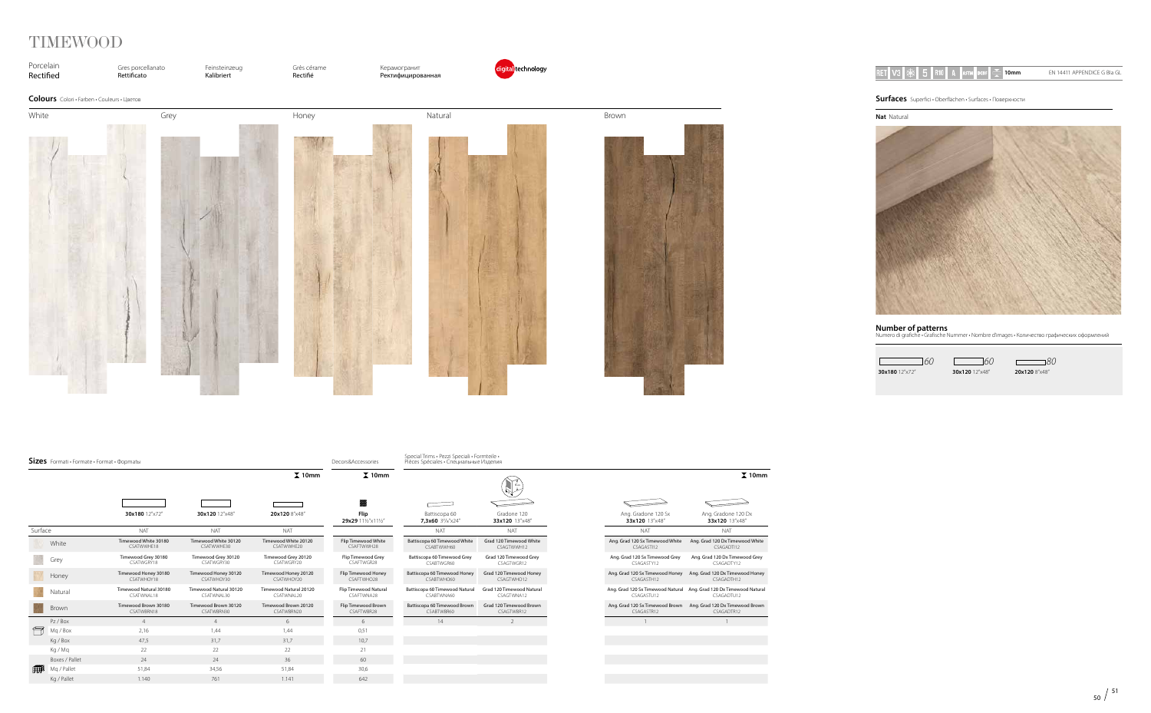

# TIMEWOOD

**Nat** Natural



**Number of patterns** Numero di grafiche • Grafische Nummer • Nombre d'images • Количество графических оформлений

 $\Box$ **30x180** 12"x72" **20x120** 12"x48"

 $\frac{1}{60}$  **60 60 80**<br>**30x120** 12<sup>*r*</sup>×48<sup>*r*</sup> **20x120** 8<sup>*r*</sup>×48<sup>*r*</sup>

| RET | я.<br>m |  | HRIOL. | 23 T | <b>Card</b><br>AD I IVI |  | $R_{\text{B}}$<br>GI<br>APPENDICE<br>⊢N⊦<br>14411 |
|-----|---------|--|--------|------|-------------------------|--|---------------------------------------------------|

**Surfaces** Superfici • Oberflächen • Surfaces • Поверхности

| $Sizes$ Formati $\cdot$ Formate $\cdot$ Format $\cdot$ Φopmatы |                |                                      |                                      |                                      | Decors&Accessories                  | Special Trims · Pezzi Speciali · Formteile ·<br>Pièces Spéciales • Специальные Изделия |                                         |                                               |                                                                                   |
|----------------------------------------------------------------|----------------|--------------------------------------|--------------------------------------|--------------------------------------|-------------------------------------|----------------------------------------------------------------------------------------|-----------------------------------------|-----------------------------------------------|-----------------------------------------------------------------------------------|
|                                                                |                |                                      |                                      | $\Sigma$ 10mm                        | $\overline{\mathbf{\lambda}}$ 10mm  |                                                                                        |                                         |                                               | $\chi$ 10mm                                                                       |
|                                                                |                |                                      |                                      |                                      |                                     | $\overline{\phantom{a}}$                                                               |                                         |                                               |                                                                                   |
|                                                                |                | 30x180 12"x72"                       | 30x120 12"x48"                       | 20x120 8"x48"                        | Flip<br>29x29 111/2"x111/2"         | Battiscopa 60<br>7,3x60 37/s"x24"                                                      | Gradone 120<br>33x120 13"x48"           | Ang. Gradone 120 Sx<br>33x120 13"x48"         | Ang. Gradone 120 Dx<br>33x120 13"x48"                                             |
| Surface                                                        |                | <b>NAT</b>                           | <b>NAT</b>                           | <b>NAT</b>                           |                                     | <b>NAT</b>                                                                             | <b>NAT</b>                              | <b>NAT</b>                                    | <b>NAT</b>                                                                        |
|                                                                | White          | Timewood White 30180<br>CSATWWHE18   | Timewood White 30120<br>CSATWWHE30   | Timewood White 20120<br>CSATWWHE20   | Flip Timewood White<br>CSAFTWWH28   | Battiscopa 60 Timewood White<br>CSABTWWH60                                             | Grad 120 Timewood White<br>CSAGTWWH12   | Ang. Grad 120 Sx Timewood White<br>CSAGASTI12 | Ang. Grad 120 Dx Timewood White<br>CSAGADTI12                                     |
|                                                                | Grey           | Timewood Grey 30180<br>CSATWGRY18    | Timewood Grey 30120<br>CSATWGRY30    | Timewood Grey 20120<br>CSATWGRY20    | Flip Timewood Grey<br>CSAFTWGR28    | Battiscopa 60 Timewood Grey<br>CSABTWGR60                                              | Grad 120 Timewood Grey<br>CSAGTWGR12    | Ang. Grad 120 Sx Timewood Grey<br>CSAGASTY12  | Ang. Grad 120 Dx Timewood Grey<br>CSAGADTY12                                      |
|                                                                | Honey          | Timewood Honey 30180<br>CSATWHOY18   | Timewood Honey 30120<br>CSATWHOY30   | Timewood Honey 20120<br>CSATWHOY20   | Flip Timewood Honey<br>CSAFTWHO28   | Battiscopa 60 Timewood Honey<br>CSABTWHO60                                             | Grad 120 Timewood Honey<br>CSAGTWHO12   | Ang. Grad 120 Sx Timewood Honey<br>CSAGASTH12 | Ang. Grad 120 Dx Timewood Honey<br>CSAGADTH12                                     |
|                                                                | Natural        | Timewood Natural 30180<br>CSATWNAL18 | Timewood Natural 30120<br>CSATWNAL30 | Timewood Natural 20120<br>CSATWNAL20 | Flip Timewood Natural<br>CSAFTWNA28 | Battiscopa 60 Timewood Natural<br>CSABTWNA60                                           | Grad 120 Timewood Natural<br>CSAGTWNA12 | CSAGASTU12                                    | Ang. Grad 120 Sx Timewood Natural Ang. Grad 120 Dx Timewood Natural<br>CSAGADTU12 |
|                                                                | Brown          | Timewood Brown 30180<br>CSATWBRN18   | Timewood Brown 30120<br>CSATWBRN30   | Timewood Brown 20120<br>CSATWBRN20   | Flip Timewood Brown<br>CSAFTWBR28   | Battiscopa 60 Timewood Brown<br>CSABTWBR60                                             | Grad 120 Timewood Brown<br>CSAGTWBR12   | Ang. Grad 120 Sx Timewood Brown<br>CSAGASTR12 | Ang. Grad 120 Dx Timewood Brown<br>CSAGADTR12                                     |
| Ħ                                                              | Pz / Box       |                                      | $\overline{4}$                       | 6                                    | 6                                   | 14                                                                                     | $\mathcal{L}$                           |                                               |                                                                                   |
|                                                                | Mq / Box       | 2,16                                 | 1,44                                 | 1,44                                 | 0,51                                |                                                                                        |                                         |                                               |                                                                                   |
|                                                                | Kg / Box       | 47,5                                 | 31,7                                 | 31,7                                 | 10,7                                |                                                                                        |                                         |                                               |                                                                                   |
|                                                                | Ka / Ma        | 22                                   | 22                                   | 22                                   | 21                                  |                                                                                        |                                         |                                               |                                                                                   |
|                                                                | Boxes / Pallet | 24                                   | 24                                   | 36                                   | 60                                  |                                                                                        |                                         |                                               |                                                                                   |
| ∰⊯                                                             | Mg / Pallet    | 51,84                                | 34,56                                | 51,84                                | 30,6                                |                                                                                        |                                         |                                               |                                                                                   |
|                                                                | Kg / Pallet    | 1.140                                | 761                                  | 1.141                                | 642                                 |                                                                                        |                                         |                                               |                                                                                   |